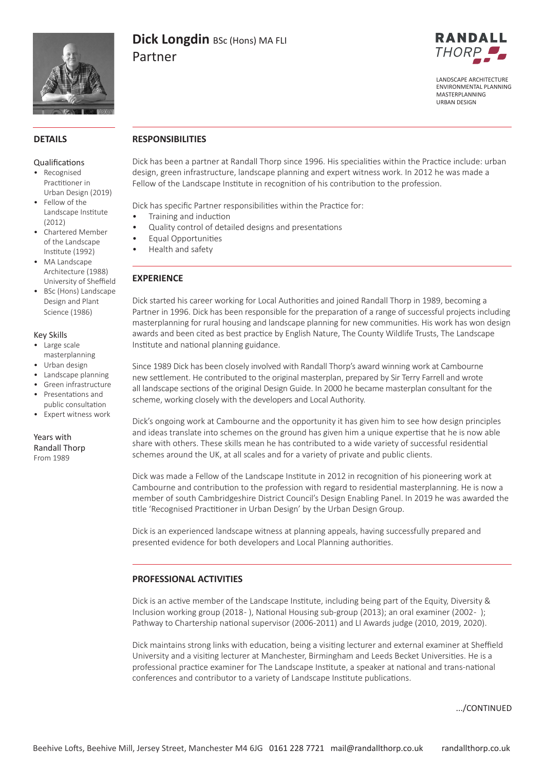

# **Dick Longdin** BSc (Hons) MA FLI Partner



LANDSCAPE ARCHITECTURE ENVIRONMENTAL PLANNING MASTERPLANNING URBAN DESIGN

# **DETAILS**

#### Qualifications

- Recognised Practitioner in Urban Design (2019)
- Fellow of the Landscape Institute (2012)
- Chartered Member of the Landscape Institute (1992)
- MA Landscape Architecture (1988) University of Sheffield
- BSc (Hons) Landscape Design and Plant Science (1986)

#### Key Skills

- Large scale masterplanning
- Urban design
- Landscape planning
- Green infrastructure • Presentations and
- public consultation • Expert witness work

Years with Randall Thorp From 1989

# **RESPONSIBILITIES**

Dick has been a partner at Randall Thorp since 1996. His specialities within the Practice include: urban design, green infrastructure, landscape planning and expert witness work. In 2012 he was made a Fellow of the Landscape Institute in recognition of his contribution to the profession.

Dick has specific Partner responsibilities within the Practice for:

- Training and induction
- Quality control of detailed designs and presentations
- Equal Opportunities
- Health and safety

# **EXPERIENCE**

Dick started his career working for Local Authorities and joined Randall Thorp in 1989, becoming a Partner in 1996. Dick has been responsible for the preparation of a range of successful projects including masterplanning for rural housing and landscape planning for new communities. His work has won design awards and been cited as best practice by English Nature, The County Wildlife Trusts, The Landscape Institute and national planning guidance.

Since 1989 Dick has been closely involved with Randall Thorp's award winning work at Cambourne new settlement. He contributed to the original masterplan, prepared by Sir Terry Farrell and wrote all landscape sections of the original Design Guide. In 2000 he became masterplan consultant for the scheme, working closely with the developers and Local Authority.

Dick's ongoing work at Cambourne and the opportunity it has given him to see how design principles and ideas translate into schemes on the ground has given him a unique expertise that he is now able share with others. These skills mean he has contributed to a wide variety of successful residential schemes around the UK, at all scales and for a variety of private and public clients.

Dick was made a Fellow of the Landscape Institute in 2012 in recognition of his pioneering work at Cambourne and contribution to the profession with regard to residential masterplanning. He is now a member of south Cambridgeshire District Council's Design Enabling Panel. In 2019 he was awarded the title 'Recognised Practitioner in Urban Design' by the Urban Design Group.

Dick is an experienced landscape witness at planning appeals, having successfully prepared and presented evidence for both developers and Local Planning authorities.

# **PROFESSIONAL ACTIVITIES**

Dick is an active member of the Landscape Institute, including being part of the Equity, Diversity & Inclusion working group (2018 - ), National Housing sub-group (2013); an oral examiner (2002 - ); Pathway to Chartership national supervisor (2006-2011) and LI Awards judge (2010, 2019, 2020).

Dick maintains strong links with education, being a visiting lecturer and external examiner at Sheffield University and a visiting lecturer at Manchester, Birmingham and Leeds Becket Universities. He is a professional practice examiner for The Landscape Institute, a speaker at national and trans-national conferences and contributor to a variety of Landscape Institute publications.

.../CONTINUED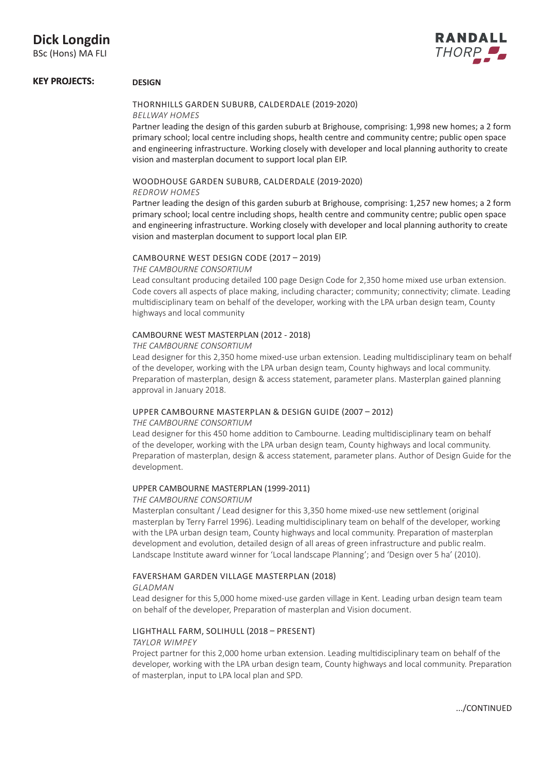BSc (Hons) MA FLI



# **KEY PROJECTS: DESIGN**

# THORNHILLS GARDEN SUBURB, CALDERDALE (2019-2020) *BELLWAY HOMES*

Partner leading the design of this garden suburb at Brighouse, comprising: 1,998 new homes; a 2 form primary school; local centre including shops, health centre and community centre; public open space and engineering infrastructure. Working closely with developer and local planning authority to create vision and masterplan document to support local plan EIP.

# WOODHOUSE GARDEN SUBURB, CALDERDALE (2019-2020)

# *REDROW HOMES*

Partner leading the design of this garden suburb at Brighouse, comprising: 1,257 new homes; a 2 form primary school; local centre including shops, health centre and community centre; public open space and engineering infrastructure. Working closely with developer and local planning authority to create vision and masterplan document to support local plan EIP.

# CAMBOURNE WEST DESIGN CODE (2017 – 2019)

#### *THE CAMBOURNE CONSORTIUM*

Lead consultant producing detailed 100 page Design Code for 2,350 home mixed use urban extension. Code covers all aspects of place making, including character; community; connectivity; climate. Leading multidisciplinary team on behalf of the developer, working with the LPA urban design team, County highways and local community

# CAMBOURNE WEST MASTERPLAN (2012 - 2018)

#### *THE CAMBOURNE CONSORTIUM*

Lead designer for this 2,350 home mixed-use urban extension. Leading multidisciplinary team on behalf of the developer, working with the LPA urban design team, County highways and local community. Preparation of masterplan, design & access statement, parameter plans. Masterplan gained planning approval in January 2018.

# UPPER CAMBOURNE MASTERPLAN & DESIGN GUIDE (2007 – 2012)

# *THE CAMBOURNE CONSORTIUM*

Lead designer for this 450 home addition to Cambourne. Leading multidisciplinary team on behalf of the developer, working with the LPA urban design team, County highways and local community. Preparation of masterplan, design & access statement, parameter plans. Author of Design Guide for the development.

# UPPER CAMBOURNE MASTERPLAN (1999-2011)

# *THE CAMBOURNE CONSORTIUM*

Masterplan consultant / Lead designer for this 3,350 home mixed-use new settlement (original masterplan by Terry Farrel 1996). Leading multidisciplinary team on behalf of the developer, working with the LPA urban design team, County highways and local community. Preparation of masterplan development and evolution, detailed design of all areas of green infrastructure and public realm. Landscape Institute award winner for 'Local landscape Planning'; and 'Design over 5 ha' (2010).

# FAVERSHAM GARDEN VILLAGE MASTERPLAN (2018)

#### *GLADMAN*

Lead designer for this 5,000 home mixed-use garden village in Kent. Leading urban design team team on behalf of the developer, Preparation of masterplan and Vision document.

# LIGHTHALL FARM, SOLIHULL (2018 – PRESENT)

#### *TAYLOR WIMPEY*

Project partner for this 2,000 home urban extension. Leading multidisciplinary team on behalf of the developer, working with the LPA urban design team, County highways and local community. Preparation of masterplan, input to LPA local plan and SPD.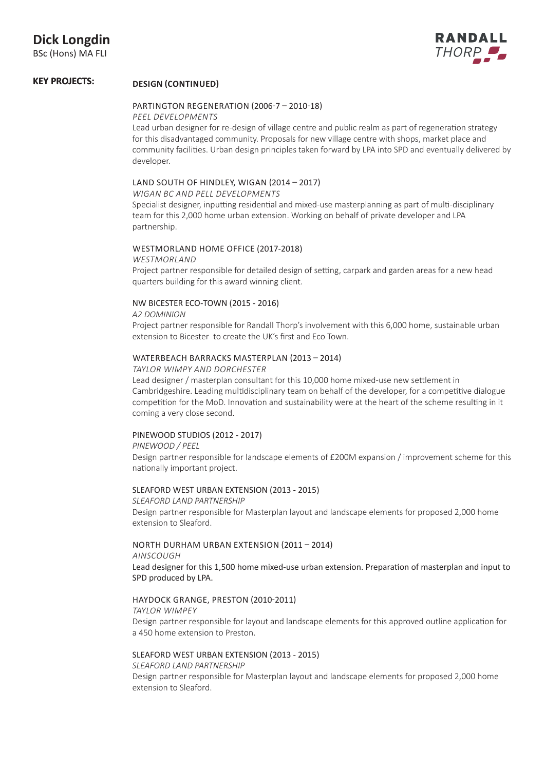

#### **KEY PROJECTS: DESIGN (CONTINUED)**

# PARTINGTON REGENERATION (2006-7 – 2010-18)

# *PEEL DEVELOPMENTS*

Lead urban designer for re-design of village centre and public realm as part of regeneration strategy for this disadvantaged community. Proposals for new village centre with shops, market place and community facilities. Urban design principles taken forward by LPA into SPD and eventually delivered by developer.

# LAND SOUTH OF HINDLEY, WIGAN (2014 – 2017)

*WIGAN BC AND PELL DEVELOPMENTS*

Specialist designer, inputting residential and mixed-use masterplanning as part of multi-disciplinary team for this 2,000 home urban extension. Working on behalf of private developer and LPA partnership.

# WESTMORLAND HOME OFFICE (2017-2018)

*WESTMORLAND*  Project partner responsible for detailed design of setting, carpark and garden areas for a new head quarters building for this award winning client.

# NW BICESTER ECO-TOWN (2015 - 2016)

*A2 DOMINION*

Project partner responsible for Randall Thorp's involvement with this 6,000 home, sustainable urban extension to Bicester to create the UK's first and Eco Town.

# WATERBEACH BARRACKS MASTERPLAN (2013 – 2014)

# *TAYLOR WIMPY AND DORCHESTER*

Lead designer / masterplan consultant for this 10,000 home mixed-use new settlement in Cambridgeshire. Leading multidisciplinary team on behalf of the developer, for a competitive dialogue competition for the MoD. Innovation and sustainability were at the heart of the scheme resulting in it coming a very close second.

# PINEWOOD STUDIOS (2012 - 2017)

# *PINEWOOD / PEEL*

Design partner responsible for landscape elements of £200M expansion / improvement scheme for this nationally important project.

# SLEAFORD WEST URBAN EXTENSION (2013 - 2015)

# *SLEAFORD LAND PARTNERSHIP*

Design partner responsible for Masterplan layout and landscape elements for proposed 2,000 home extension to Sleaford.

# NORTH DURHAM URBAN EXTENSION (2011 – 2014)

*AINSCOUGH*

Lead designer for this 1,500 home mixed-use urban extension. Preparation of masterplan and input to SPD produced by LPA.

# HAYDOCK GRANGE, PRESTON (2010-2011)

*TAYLOR WIMPEY*

Design partner responsible for layout and landscape elements for this approved outline application for a 450 home extension to Preston.

# SLEAFORD WEST URBAN EXTENSION (2013 - 2015)

# *SLEAFORD LAND PARTNERSHIP*

Design partner responsible for Masterplan layout and landscape elements for proposed 2,000 home extension to Sleaford.